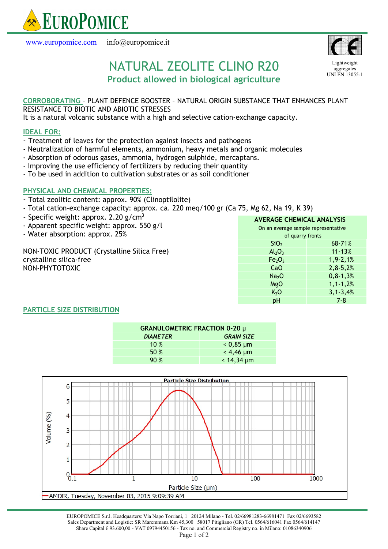

www.europomice.com info@europomice.it



**Lightweight** aggregates UNI EN 13055-1

# NATURAL ZEOLITE CLINO R20 Product allowed in biological agriculture

## CORROBORATING – PLANT DEFENCE BOOSTER – NATURAL ORIGIN SUBSTANCE THAT ENHANCES PLANT RESISTANCE TO BIOTIC AND ABIOTIC STRESSES

It is a natural volcanic substance with a high and selective cation-exchange capacity.

#### IDEAL FOR:

- Treatment of leaves for the protection against insects and pathogens
- Neutralization of harmful elements, ammonium, heavy metals and organic molecules
- Absorption of odorous gases, ammonia, hydrogen sulphide, mercaptans.
- Improving the use efficiency of fertilizers by reducing their quantity
- To be used in addition to cultivation substrates or as soil conditioner

## PHYSICAL AND CHEMICAL PROPERTIES:

- Total zeolitic content: approx. 90% (Clinoptilolite)
- Total cation-exchange capacity: approx. ca. 220 meq/100 gr (Ca 75, Mg 62, Na 19, K 39)
- Specific weight: approx. 2.20  $g/cm<sup>3</sup>$
- Apparent specific weight: approx. 550 g/l
- Water absorption: approx. 25%

NON-TOXIC PRODUCT (Crystalline Silica Free) crystalline silica-free NON-PHYTOTOXIC

| <b>AVERAGE CHEMICAL ANALYSIS</b>    |                |
|-------------------------------------|----------------|
| On an average sample representative |                |
| of quarry fronts                    |                |
| SiO <sub>2</sub>                    | 68-71%         |
| $Al_2O_3$                           | $11 - 13%$     |
| Fe <sub>2</sub> O <sub>3</sub>      | $1, 9 - 2, 1%$ |
| CaO                                 | $2,8-5,2%$     |
| Na <sub>2</sub> O                   | $0, 8 - 1, 3%$ |
| MgO                                 | $1, 1 - 1, 2%$ |
| K <sub>2</sub> O                    | $3, 1 - 3, 4%$ |
| рH                                  | 7-8            |

## PARTICLE SIZE DISTRIBUTION

| <b>GRANULOMETRIC FRACTION 0-20 µ</b> |                   |
|--------------------------------------|-------------------|
| <b>DIAMETER</b>                      | <b>GRAIN SIZE</b> |
| 10%                                  | $0,85 \mu m$      |
| 50%                                  | $< 4,46 \mu m$    |
| 90%                                  | $< 14,34 \mu m$   |



EUROPOMICE S.r.l. Headquarters: Via Napo Torriani, 1 20124 Milano - Tel. 02/66981283-66981471 Fax 02/6693582 Sales Department and Logistic: SR Maremmana Km 45,300 58017 Pitigliano (GR) Tel. 0564/616041 Fax 0564/614147 Share Capital € 93.600,00 - VAT 09794450156 - Tax no. and Commercial Registry no. in Milano: 01086340906